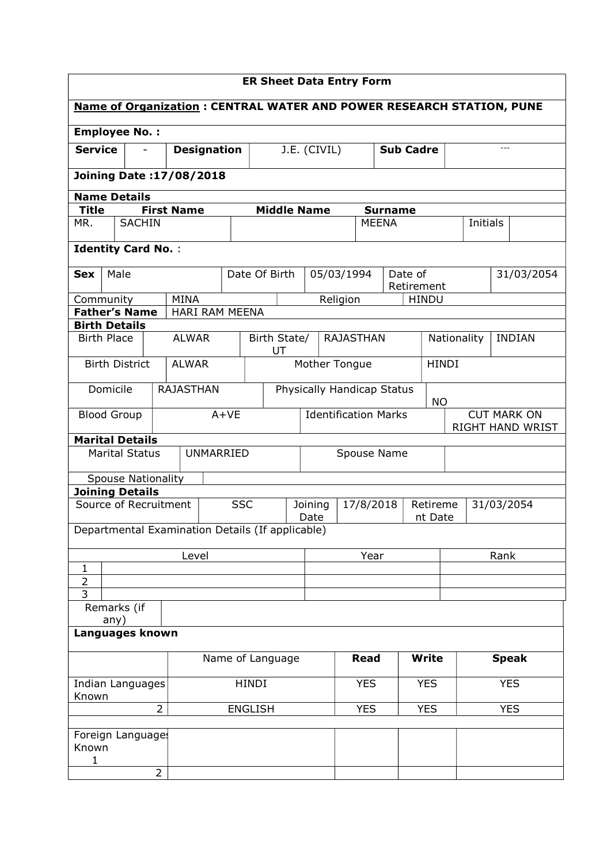| <b>ER Sheet Data Entry Form</b>           |                                 |                   |                       |                                                                      |                 |                                  |              |                  |              |             |                                        |               |  |
|-------------------------------------------|---------------------------------|-------------------|-----------------------|----------------------------------------------------------------------|-----------------|----------------------------------|--------------|------------------|--------------|-------------|----------------------------------------|---------------|--|
|                                           |                                 |                   |                       | Name of Organization: CENTRAL WATER AND POWER RESEARCH STATION, PUNE |                 |                                  |              |                  |              |             |                                        |               |  |
|                                           | <b>Employee No.:</b>            |                   |                       |                                                                      |                 |                                  |              |                  |              |             |                                        |               |  |
| <b>Service</b>                            |                                 |                   | <b>Designation</b>    |                                                                      | J.E. (CIVIL)    |                                  |              | <b>Sub Cadre</b> |              | $- - -$     |                                        |               |  |
|                                           | <b>Joining Date: 17/08/2018</b> |                   |                       |                                                                      |                 |                                  |              |                  |              |             |                                        |               |  |
|                                           | <b>Name Details</b>             |                   |                       |                                                                      |                 |                                  |              |                  |              |             |                                        |               |  |
| <b>Title</b>                              |                                 | <b>First Name</b> |                       | <b>Middle Name</b>                                                   |                 |                                  |              | <b>Surname</b>   |              |             |                                        |               |  |
| MR.                                       | <b>SACHIN</b>                   |                   |                       |                                                                      |                 |                                  | <b>MEENA</b> |                  |              | Initials    |                                        |               |  |
| <b>Identity Card No.:</b>                 |                                 |                   |                       |                                                                      |                 |                                  |              |                  |              |             |                                        |               |  |
| <b>Sex</b>                                | Male                            |                   |                       | Date Of Birth                                                        |                 | 05/03/1994                       |              | Date of          |              |             |                                        | 31/03/2054    |  |
|                                           |                                 |                   |                       |                                                                      |                 |                                  |              | Retirement       |              |             |                                        |               |  |
| Community                                 | <b>Father's Name</b>            | <b>MINA</b>       | <b>HARI RAM MEENA</b> |                                                                      |                 | Religion                         |              |                  | <b>HINDU</b> |             |                                        |               |  |
| <b>Birth Details</b>                      |                                 |                   |                       |                                                                      |                 |                                  |              |                  |              |             |                                        |               |  |
| <b>Birth Place</b>                        |                                 | <b>ALWAR</b>      |                       | Birth State/<br>UT                                                   |                 | <b>RAJASTHAN</b>                 |              |                  |              | Nationality |                                        | <b>INDIAN</b> |  |
|                                           | <b>Birth District</b>           | <b>ALWAR</b>      |                       |                                                                      |                 | Mother Tongue                    |              |                  | <b>HINDI</b> |             |                                        |               |  |
|                                           | Domicile                        | <b>RAJASTHAN</b>  |                       |                                                                      |                 | Physically Handicap Status       |              |                  | <b>NO</b>    |             |                                        |               |  |
|                                           | <b>Blood Group</b>              |                   | $A+VE$                |                                                                      |                 | <b>Identification Marks</b>      |              |                  |              |             | <b>CUT MARK ON</b><br>RIGHT HAND WRIST |               |  |
|                                           | <b>Marital Details</b>          |                   |                       |                                                                      |                 |                                  |              |                  |              |             |                                        |               |  |
|                                           | <b>Marital Status</b>           |                   | <b>UNMARRIED</b>      |                                                                      |                 | Spouse Name                      |              |                  |              |             |                                        |               |  |
|                                           | <b>Spouse Nationality</b>       |                   |                       |                                                                      |                 |                                  |              |                  |              |             |                                        |               |  |
|                                           | <b>Joining Details</b>          |                   |                       |                                                                      |                 |                                  |              |                  |              |             |                                        |               |  |
|                                           | Source of Recruitment           |                   | <b>SSC</b>            |                                                                      | Joining<br>Date | 17/8/2018<br>Retireme<br>nt Date |              |                  |              | 31/03/2054  |                                        |               |  |
|                                           |                                 |                   |                       | Departmental Examination Details (If applicable)                     |                 |                                  |              |                  |              |             |                                        |               |  |
|                                           |                                 | Level             |                       |                                                                      |                 | Year                             |              |                  |              |             | Rank                                   |               |  |
| $\mathbf{1}$                              |                                 |                   |                       |                                                                      |                 |                                  |              |                  |              |             |                                        |               |  |
| $\overline{2}$<br>3                       |                                 |                   |                       |                                                                      |                 |                                  |              |                  |              |             |                                        |               |  |
|                                           | Remarks (if<br>any)             |                   |                       |                                                                      |                 |                                  |              |                  |              |             |                                        |               |  |
|                                           | Languages known                 |                   |                       |                                                                      |                 |                                  |              |                  |              |             |                                        |               |  |
|                                           |                                 |                   |                       | Name of Language                                                     |                 |                                  | <b>Read</b>  |                  | <b>Write</b> |             |                                        | <b>Speak</b>  |  |
| <b>HINDI</b><br>Indian Languages<br>Known |                                 |                   |                       |                                                                      | <b>YES</b>      |                                  | <b>YES</b>   |                  |              | <b>YES</b>  |                                        |               |  |
|                                           |                                 | $\overline{2}$    |                       | <b>ENGLISH</b>                                                       |                 |                                  | <b>YES</b>   |                  | <b>YES</b>   |             |                                        | <b>YES</b>    |  |
|                                           | Foreign Language                |                   |                       |                                                                      |                 |                                  |              |                  |              |             |                                        |               |  |
| Known<br>$\mathbf{1}$                     |                                 |                   |                       |                                                                      |                 |                                  |              |                  |              |             |                                        |               |  |
|                                           |                                 | $\overline{2}$    |                       |                                                                      |                 |                                  |              |                  |              |             |                                        |               |  |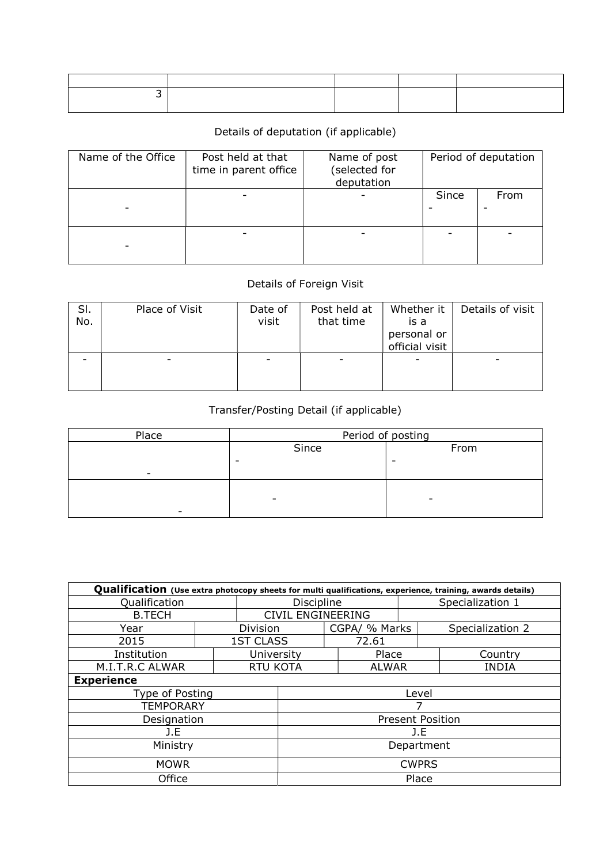# Details of deputation (if applicable)

| Name of the Office | Post held at that<br>time in parent office | Name of post<br>(selected for<br>deputation | Period of deputation |      |  |  |
|--------------------|--------------------------------------------|---------------------------------------------|----------------------|------|--|--|
|                    |                                            |                                             | Since                | From |  |  |
|                    |                                            |                                             |                      |      |  |  |

## Details of Foreign Visit

| SI.<br>No. | Place of Visit | Date of<br>visit | Post held at<br>that time | Whether it<br>is a<br>personal or<br>official visit | Details of visit |
|------------|----------------|------------------|---------------------------|-----------------------------------------------------|------------------|
|            |                |                  |                           |                                                     |                  |

## Transfer/Posting Detail (if applicable)

| Place                    | Period of posting        |      |  |  |  |  |
|--------------------------|--------------------------|------|--|--|--|--|
|                          | Since                    | From |  |  |  |  |
|                          | -                        | -    |  |  |  |  |
| $\overline{\phantom{0}}$ |                          |      |  |  |  |  |
|                          |                          |      |  |  |  |  |
|                          | $\overline{\phantom{0}}$ |      |  |  |  |  |
|                          |                          |      |  |  |  |  |

| Qualification (Use extra photocopy sheets for multi qualifications, experience, training, awards details) |                          |                  |                         |                  |               |              |                  |  |  |  |
|-----------------------------------------------------------------------------------------------------------|--------------------------|------------------|-------------------------|------------------|---------------|--------------|------------------|--|--|--|
| Qualification                                                                                             | <b>Discipline</b>        |                  |                         | Specialization 1 |               |              |                  |  |  |  |
| <b>B.TECH</b>                                                                                             | <b>CIVIL ENGINEERING</b> |                  |                         |                  |               |              |                  |  |  |  |
| Year                                                                                                      |                          | Division         |                         |                  | CGPA/ % Marks |              | Specialization 2 |  |  |  |
| 2015                                                                                                      |                          | <b>1ST CLASS</b> |                         |                  | 72.61         |              |                  |  |  |  |
| Institution                                                                                               |                          | University       |                         |                  | Place         |              | Country          |  |  |  |
| M.I.T.R.C ALWAR                                                                                           |                          | <b>RTU KOTA</b>  | <b>ALWAR</b>            |                  |               | <b>INDIA</b> |                  |  |  |  |
| <b>Experience</b>                                                                                         |                          |                  |                         |                  |               |              |                  |  |  |  |
| Type of Posting                                                                                           |                          |                  | Level                   |                  |               |              |                  |  |  |  |
| <b>TEMPORARY</b>                                                                                          |                          |                  |                         |                  |               |              |                  |  |  |  |
| Designation                                                                                               |                          |                  | <b>Present Position</b> |                  |               |              |                  |  |  |  |
| J.E                                                                                                       | J.E                      |                  |                         |                  |               |              |                  |  |  |  |
| Ministry                                                                                                  | Department               |                  |                         |                  |               |              |                  |  |  |  |
| <b>MOWR</b>                                                                                               | <b>CWPRS</b>             |                  |                         |                  |               |              |                  |  |  |  |
| Office                                                                                                    |                          |                  | Place                   |                  |               |              |                  |  |  |  |